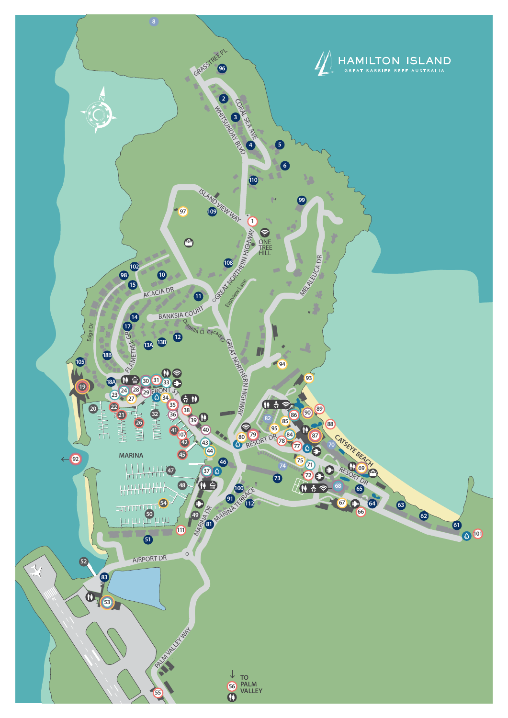